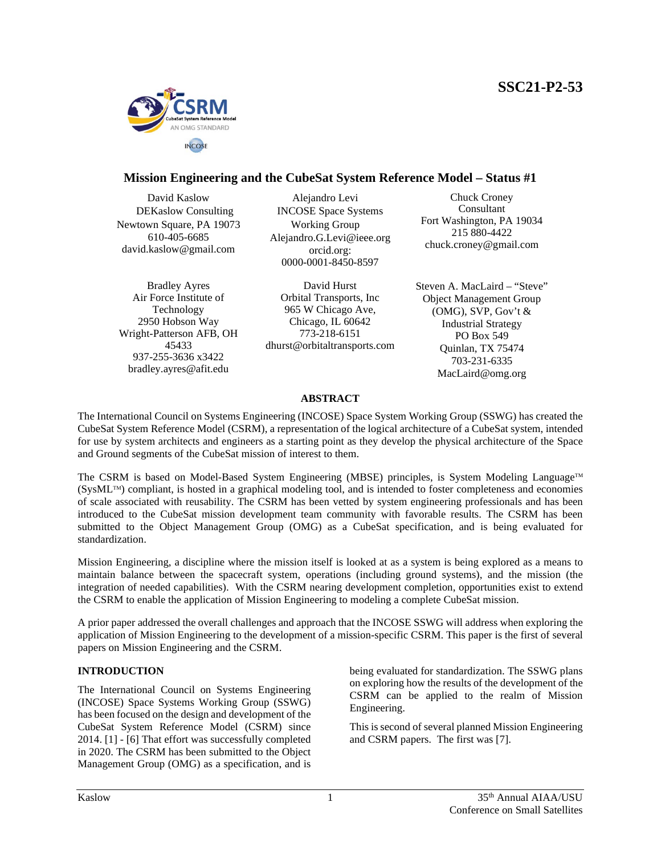

# **Mission Engineering and the CubeSat System Reference Model – Status #1**

David Kaslow DEKaslow Consulting Newtown Square, PA 19073 610-405-6685 david.kaslow@gmail.com

Alejandro Levi INCOSE Space Systems Working Group Alejandro.G.Levi@ieee.org [orcid.org:](about:blank) 0000-0001-8450-8597

Bradley Ayres Air Force Institute of Technology 2950 Hobson Way Wright-Patterson AFB, OH 45433 937-255-3636 x3422 bradley.ayres@afit.edu

David Hurst Orbital Transports, Inc 965 W Chicago Ave, Chicago, IL 60642 773-218-6151 dhurst@orbitaltransports.com

Chuck Croney Consultant Fort Washington, PA 19034 215 880-4422 chuck.croney@gmail.com

Steven A. MacLaird – "Steve" Object Management Group (OMG), SVP, Gov't & Industrial Strategy PO Box 549 Quinlan, TX 75474 703-231-6335 MacLaird@omg.org

### **ABSTRACT**

The International Council on Systems Engineering (INCOSE) Space System Working Group (SSWG) has created the CubeSat System Reference Model (CSRM), a representation of the logical architecture of a CubeSat system, intended for use by system architects and engineers as a starting point as they develop the physical architecture of the Space and Ground segments of the CubeSat mission of interest to them.

The CSRM is based on Model-Based System Engineering (MBSE) principles, is System Modeling Language™  $(SysML^TM)$  compliant, is hosted in a graphical modeling tool, and is intended to foster completeness and economies of scale associated with reusability. The CSRM has been vetted by system engineering professionals and has been introduced to the CubeSat mission development team community with favorable results. The CSRM has been submitted to the Object Management Group (OMG) as a CubeSat specification, and is being evaluated for standardization.

Mission Engineering, a discipline where the mission itself is looked at as a system is being explored as a means to maintain balance between the spacecraft system, operations (including ground systems), and the mission (the integration of needed capabilities). With the CSRM nearing development completion, opportunities exist to extend the CSRM to enable the application of Mission Engineering to modeling a complete CubeSat mission.

A prior paper addressed the overall challenges and approach that the INCOSE SSWG will address when exploring the application of Mission Engineering to the development of a mission-specific CSRM. This paper is the first of several papers on Mission Engineering and the CSRM.

## **INTRODUCTION**

The International Council on Systems Engineering (INCOSE) Space Systems Working Group (SSWG) has been focused on the design and development of the CubeSat System Reference Model (CSRM) since 2014. [1] - [6] That effort was successfully completed in 2020. The CSRM has been submitted to the Object Management Group (OMG) as a specification, and is

being evaluated for standardization. The SSWG plans on exploring how the results of the development of the CSRM can be applied to the realm of Mission Engineering.

This is second of several planned Mission Engineering and CSRM papers. The first was [7].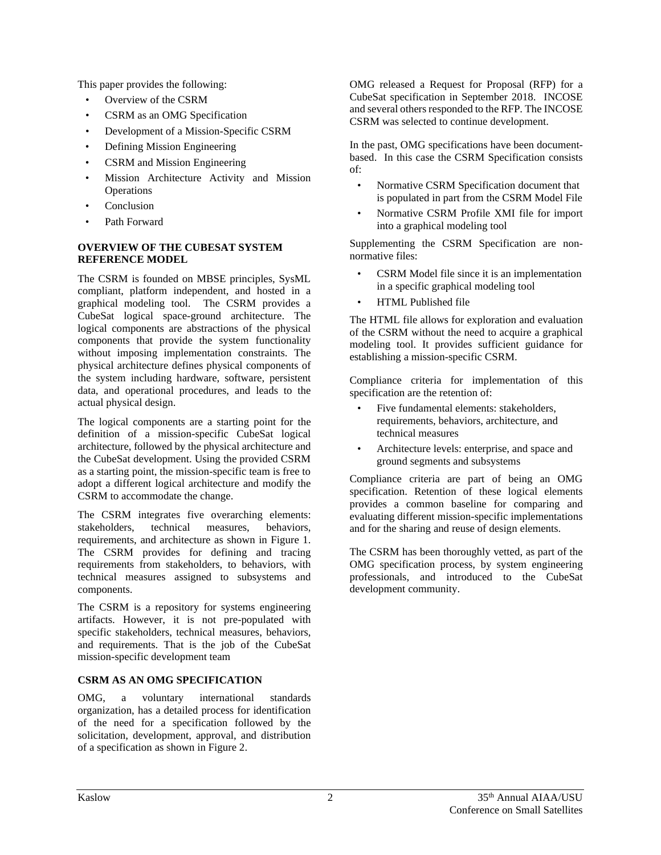This paper provides the following:

- Overview of the CSRM
- CSRM as an OMG Specification
- Development of a Mission-Specific CSRM
- Defining Mission Engineering
- CSRM and Mission Engineering
- Mission Architecture Activity and Mission **Operations**
- **Conclusion**
- Path Forward

#### **OVERVIEW OF THE CUBESAT SYSTEM REFERENCE MODEL**

The CSRM is founded on MBSE principles, SysML compliant, platform independent, and hosted in a graphical modeling tool. The CSRM provides a CubeSat logical space-ground architecture. The logical components are abstractions of the physical components that provide the system functionality without imposing implementation constraints. The physical architecture defines physical components of the system including hardware, software, persistent data, and operational procedures, and leads to the actual physical design.

The logical components are a starting point for the definition of a mission-specific CubeSat logical architecture, followed by the physical architecture and the CubeSat development. Using the provided CSRM as a starting point, the mission-specific team is free to adopt a different logical architecture and modify the CSRM to accommodate the change.

The CSRM integrates five overarching elements: stakeholders, technical measures, behaviors, requirements, and architecture as shown in Figure 1. The CSRM provides for defining and tracing requirements from stakeholders, to behaviors, with technical measures assigned to subsystems and components.

The CSRM is a repository for systems engineering artifacts. However, it is not pre-populated with specific stakeholders, technical measures, behaviors, and requirements. That is the job of the CubeSat mission-specific development team

# **CSRM AS AN OMG SPECIFICATION**

OMG, a voluntary international standards organization, has a detailed process for identification of the need for a specification followed by the solicitation, development, approval, and distribution of a specification as shown in Figure 2.

OMG released a Request for Proposal (RFP) for a CubeSat specification in September 2018. INCOSE and several others responded to the RFP. The INCOSE CSRM was selected to continue development.

In the past, OMG specifications have been documentbased. In this case the CSRM Specification consists of:

- Normative CSRM Specification document that is populated in part from the CSRM Model File
- Normative CSRM Profile XMI file for import into a graphical modeling tool

Supplementing the CSRM Specification are nonnormative files:

- CSRM Model file since it is an implementation in a specific graphical modeling tool
- HTML Published file

The HTML file allows for exploration and evaluation of the CSRM without the need to acquire a graphical modeling tool. It provides sufficient guidance for establishing a mission-specific CSRM.

Compliance criteria for implementation of this specification are the retention of:

- Five fundamental elements: stakeholders, requirements, behaviors, architecture, and technical measures
- Architecture levels: enterprise, and space and ground segments and subsystems

Compliance criteria are part of being an OMG specification. Retention of these logical elements provides a common baseline for comparing and evaluating different mission-specific implementations and for the sharing and reuse of design elements.

The CSRM has been thoroughly vetted, as part of the OMG specification process, by system engineering professionals, and introduced to the CubeSat development community.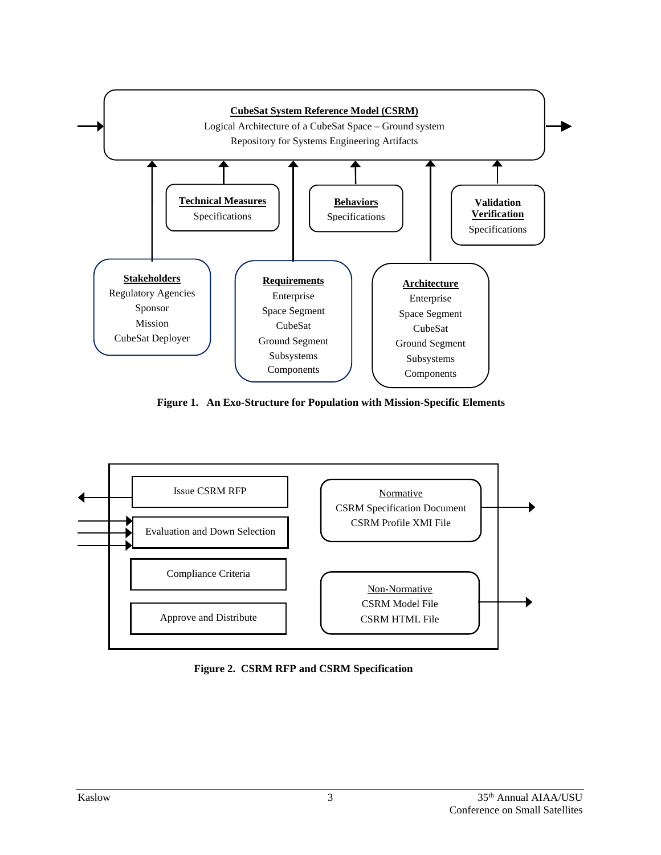

**Figure 1. An Exo-Structure for Population with Mission-Specific Elements**



**Figure 2. CSRM RFP and CSRM Specification**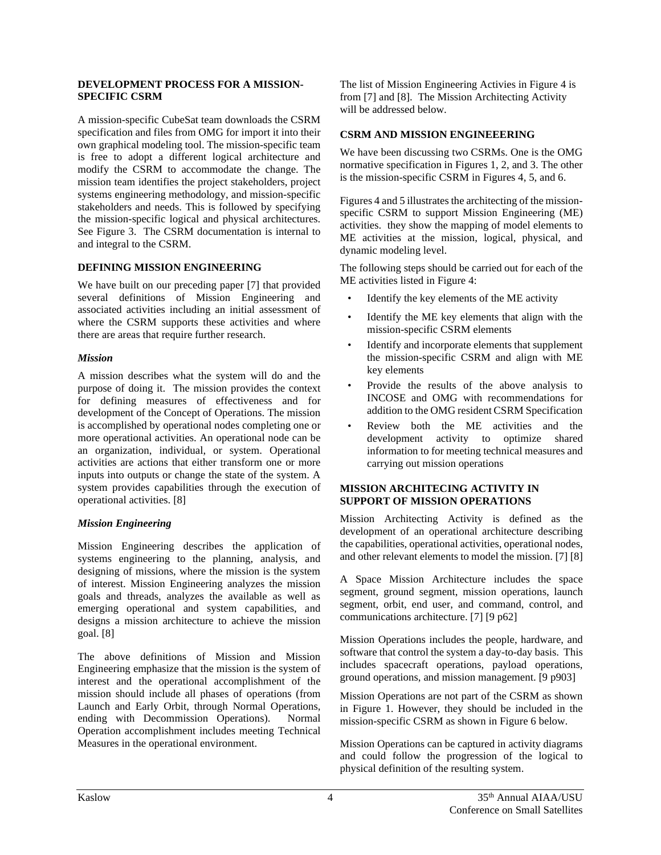#### **DEVELOPMENT PROCESS FOR A MISSION-SPECIFIC CSRM**

A mission-specific CubeSat team downloads the CSRM specification and files from OMG for import it into their own graphical modeling tool. The mission-specific team is free to adopt a different logical architecture and modify the CSRM to accommodate the change. The mission team identifies the project stakeholders, project systems engineering methodology, and mission-specific stakeholders and needs. This is followed by specifying the mission-specific logical and physical architectures. See Figure 3. The CSRM documentation is internal to and integral to the CSRM.

## **DEFINING MISSION ENGINEERING**

We have built on our preceding paper [7] that provided several definitions of Mission Engineering and associated activities including an initial assessment of where the CSRM supports these activities and where there are areas that require further research.

## *Mission*

A mission describes what the system will do and the purpose of doing it. The mission provides the context for defining measures of effectiveness and for development of the Concept of Operations. The mission is accomplished by operational nodes completing one or more operational activities. An operational node can be an organization, individual, or system. Operational activities are actions that either transform one or more inputs into outputs or change the state of the system. A system provides capabilities through the execution of operational activities. [8]

## *Mission Engineering*

Mission Engineering describes the application of systems engineering to the planning, analysis, and designing of missions, where the mission is the system of interest. Mission Engineering analyzes the mission goals and threads, analyzes the available as well as emerging operational and system capabilities, and designs a mission architecture to achieve the mission goal. [8]

The above definitions of Mission and Mission Engineering emphasize that the mission is the system of interest and the operational accomplishment of the mission should include all phases of operations (from Launch and Early Orbit, through Normal Operations, ending with Decommission Operations). Normal Operation accomplishment includes meeting Technical Measures in the operational environment.

The list of Mission Engineering Activies in Figure 4 is from [7] and [8]. The Mission Architecting Activity will be addressed below.

## **CSRM AND MISSION ENGINEEERING**

We have been discussing two CSRMs. One is the OMG normative specification in Figures 1, 2, and 3. The other is the mission-specific CSRM in Figures 4, 5, and 6.

Figures 4 and 5 illustrates the architecting of the missionspecific CSRM to support Mission Engineering (ME) activities. they show the mapping of model elements to ME activities at the mission, logical, physical, and dynamic modeling level.

The following steps should be carried out for each of the ME activities listed in Figure 4:

- Identify the key elements of the ME activity
- Identify the ME key elements that align with the mission-specific CSRM elements
- Identify and incorporate elements that supplement the mission-specific CSRM and align with ME key elements
- Provide the results of the above analysis to INCOSE and OMG with recommendations for addition to the OMG resident CSRM Specification
- Review both the ME activities and the development activity to optimize shared information to for meeting technical measures and carrying out mission operations

#### **MISSION ARCHITECING ACTIVITY IN SUPPORT OF MISSION OPERATIONS**

Mission Architecting Activity is defined as the development of an operational architecture describing the capabilities, operational activities, operational nodes, and other relevant elements to model the mission. [7] [8]

A Space Mission Architecture includes the space segment, ground segment, mission operations, launch segment, orbit, end user, and command, control, and communications architecture. [7] [9 p62]

Mission Operations includes the people, hardware, and software that control the system a day-to-day basis. This includes spacecraft operations, payload operations, ground operations, and mission management. [9 p903]

Mission Operations are not part of the CSRM as shown in Figure 1. However, they should be included in the mission-specific CSRM as shown in Figure 6 below.

Mission Operations can be captured in activity diagrams and could follow the progression of the logical to physical definition of the resulting system.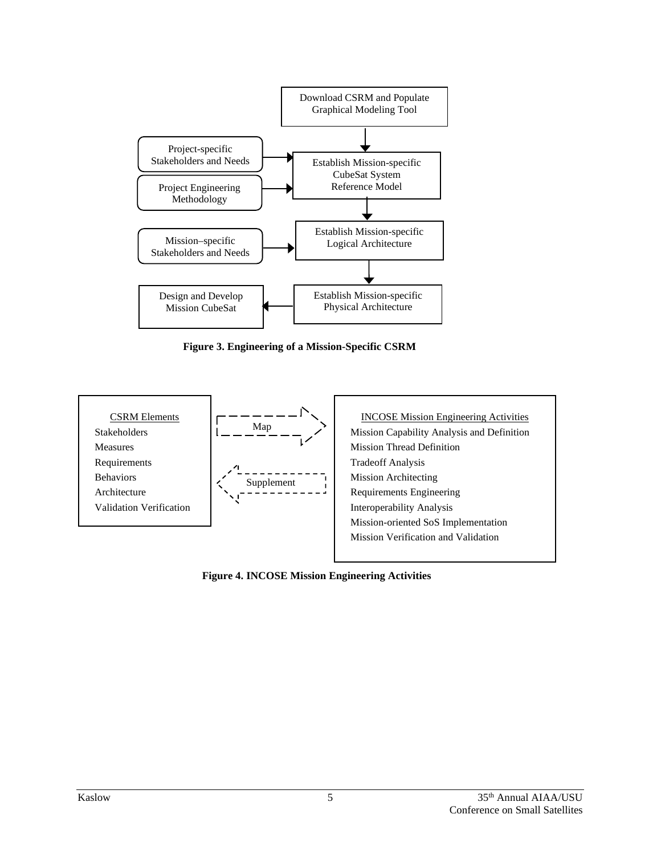

**Figure 3. Engineering of a Mission-Specific CSRM**



**Figure 4. INCOSE Mission Engineering Activities**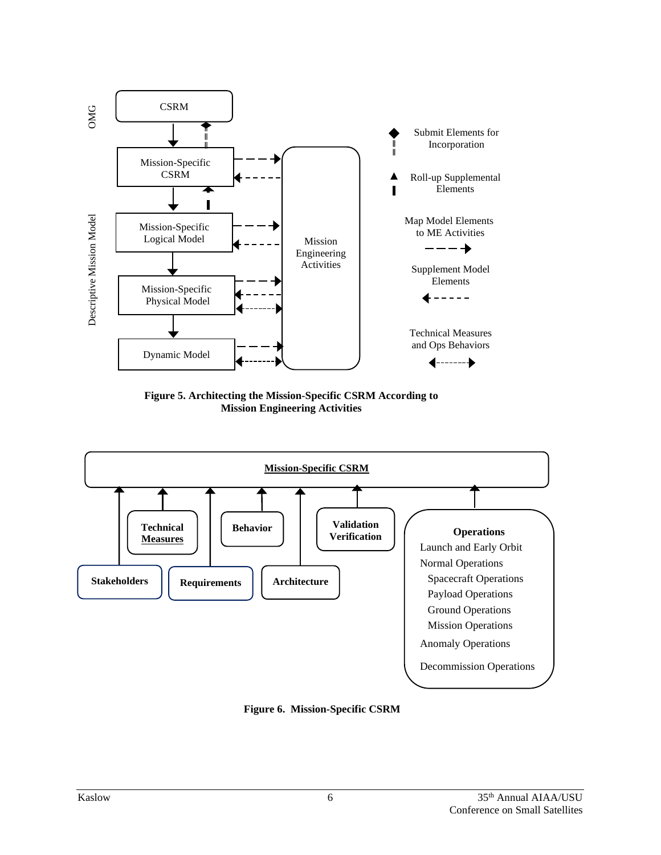

**Figure 5. Architecting the Mission-Specific CSRM According to Mission Engineering Activities**



**Figure 6. Mission-Specific CSRM**